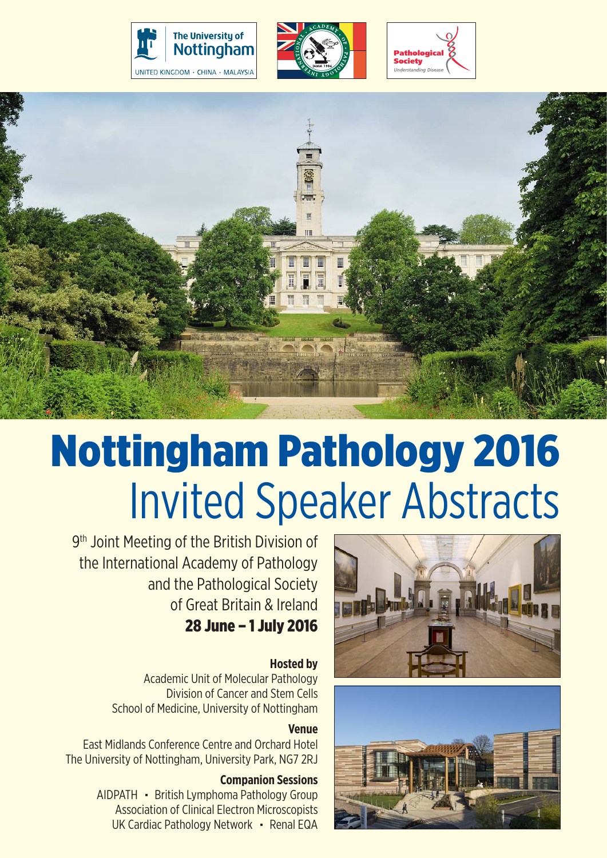







# Nottingham Pathology 2016 Invited Speaker Abstracts



9<sup>th</sup> Joint Meeting of the British Division of the International Academy of Pathology and the Pathological Society of Great Britain & Ireland 28 June – 1 July 2016

# **Hosted by**

Academic Unit of Molecular Pathology Division of Cancer and Stem Cells School of Medicine, University of Nottingham

### **Venue**

East Midlands Conference Centre and Orchard Hotel The University of Nottingham, University Park, NG7 2RJ

### **Companion Sessions**

AIDPATH  · British Lymphoma Pathology Group Association of Clinical Electron Microscopists UK Cardiac Pathology Network  · Renal EQA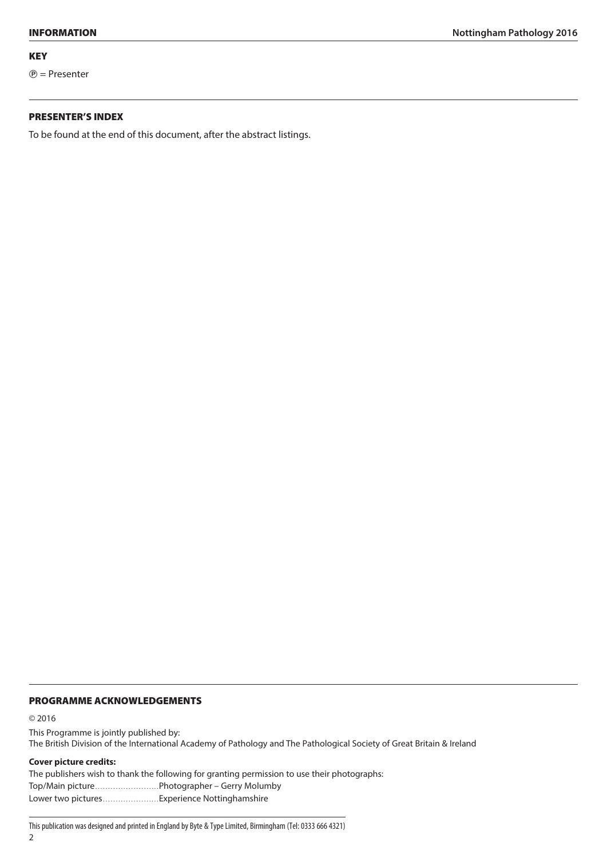#### KEY

 $(P)$  = Presenter

#### Presenter's Index

To be found at the end of this document, after the abstract listings.

#### Programme acknowledgements

© 2016

This Programme is jointly published by: The British Division of the International Academy of Pathology and The Pathological Society of Great Britain & Ireland

#### **Cover picture credits:**

The publishers wish to thank the following for granting permission to use their photographs: Top/Main picture . . . . . . . . . . . . . . . . . . . . . . . . Photographer – Gerry Molumby Lower two pictures . . . . . . . . . . . . . . . . . . . . . Experience Nottinghamshire

This publication was designed and printed in England by Byte & Type Limited, Birmingham (Tel: 0333 666 4321)

2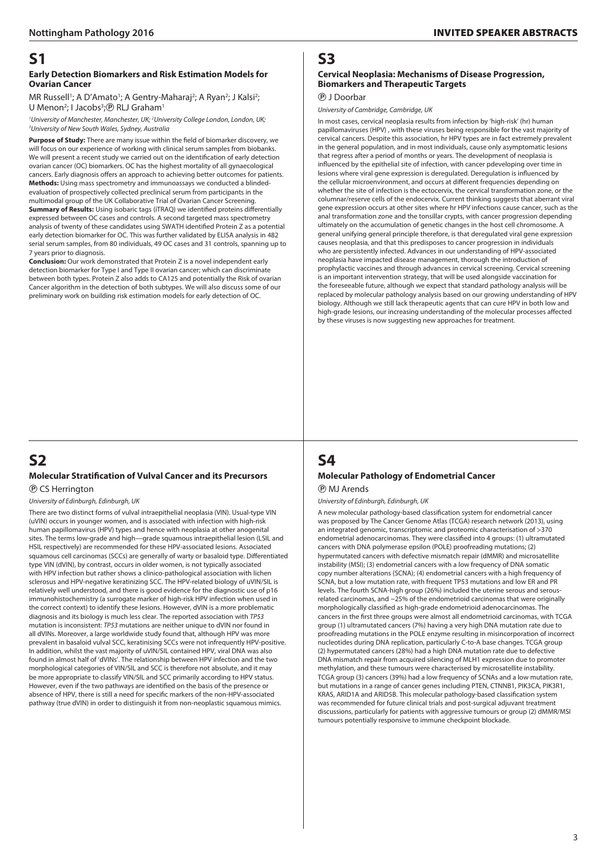#### **Early Detection Biomarkers and Risk Estimation Models for Ovarian Cancer**

#### MR Russell<sup>1</sup>; A D'Amato<sup>1</sup>; A Gentry-Maharaj<sup>2</sup>; A Ryan<sup>2</sup>; J Kalsi<sup>2</sup>; U Menon<sup>2</sup>; I Jacobs<sup>3</sup>;<sup>®</sup> RLJ Graham<sup>1</sup>

<sup>1</sup>University of Manchester, Manchester, UK; <sup>2</sup>University College London, London, UK;<br><sup>3</sup>University of New South Wales, Sydney, Australia *University of New South Wales, Sydney, Australia*

**Purpose of Study:** There are many issue within the field of biomarker discovery, we will focus on our experience of working with clinical serum samples from biobanks. We will present a recent study we carried out on the identification of early detection ovarian cancer (OC) biomarkers. OC has the highest mortality of all gynaecological cancers. Early diagnosis offers an approach to achieving better outcomes for patients. **Methods:** Using mass spectrometry and immunoassays we conducted a blindedevaluation of prospectively collected preclinical serum from participants in the multimodal group of the UK Collaborative Trial of Ovarian Cancer Screening. **Summary of Results:** Using isobaric tags (iTRAQ) we identified proteins differentially expressed between OC cases and controls. A second targeted mass spectrometry analysis of twenty of these candidates using SWATH identified Protein Z as a potential early detection biomarker for OC. This was further validated by ELISA analysis in 482 serial serum samples, from 80 individuals, 49 OC cases and 31 controls, spanning up to 7 years prior to diagnosis.

**Conclusion:** Our work demonstrated that Protein Z is a novel independent early detection biomarker for Type I and Type II ovarian cancer; which can discriminate between both types. Protein Z also adds to CA125 and potentially the Risk of ovarian Cancer algorithm in the detection of both subtypes. We will also discuss some of our preliminary work on building risk estimation models for early detection of OC.

### **S2 Molecular Stratification of Vulval Cancer and its Precursors**

P CS Herrington

*University of Edinburgh, Edinburgh, UK*

There are two distinct forms of vulval intraepithelial neoplasia (VIN). Usual-type VIN (uVIN) occurs in younger women, and is associated with infection with high-risk human papillomavirus (HPV) types and hence with neoplasia at other anogenital sites. The terms low-grade and high—grade squamous intraepithelial lesion (LSIL and HSIL respectively) are recommended for these HPV-associated lesions. Associated squamous cell carcinomas (SCCs) are generally of warty or basaloid type. Differentiated type VIN (dVIN), by contrast, occurs in older women, is not typically associated with HPV infection but rather shows a clinico-pathological association with lichen sclerosus and HPV-negative keratinizing SCC. The HPV-related biology of uVIN/SIL is relatively well understood, and there is good evidence for the diagnostic use of p16 immunohistochemistry (a surrogate marker of high-risk HPV infection when used in the correct context) to identify these lesions. However, dVIN is a more problematic diagnosis and its biology is much less clear. The reported association with *TP53* mutation is inconsistent: *TP53* mutations are neither unique to dVIN nor found in all dVINs. Moreover, a large worldwide study found that, although HPV was more prevalent in basaloid vulval SCC, keratinising SCCs were not infrequently HPV-positive. In addition, whilst the vast majority of uVIN/SIL contained HPV, viral DNA was also found in almost half of 'dVINs'. The relationship between HPV infection and the two morphological categories of VIN/SIL and SCC is therefore not absolute, and it may be more appropriate to classify VIN/SIL and SCC primarily according to HPV status. However, even if the two pathways are identified on the basis of the presence or absence of HPV, there is still a need for specific markers of the non-HPV-associated pathway (true dVIN) in order to distinguish it from non-neoplastic squamous mimics.

# **S3**

#### **Cervical Neoplasia: Mechanisms of Disease Progression, Biomarkers and Therapeutic Targets**

P J Doorbar

*University of Cambridge, Cambridge, UK*

In most cases, cervical neoplasia results from infection by 'high-risk' (hr) human papillomaviruses (HPV) , with these viruses being responsible for the vast majority of cervical cancers. Despite this association, hr HPV types are in fact extremely prevalent in the general population, and in most individuals, cause only asymptomatic lesions that regress after a period of months or years. The development of neoplasia is influenced by the epithelial site of infection, with cancer pdeveloping over time in lesions where viral gene expression is deregulated. Deregulation is influenced by the cellular microenvironment, and occurs at different frequencies depending on whether the site of infection is the ectocervix, the cervical transformation zone, or the columnar/reserve cells of the endocervix. Current thinking suggests that aberrant viral gene expression occurs at other sites where hr HPV infections cause cancer, such as the anal transformation zone and the tonsillar crypts, with cancer progression depending ultimately on the accumulation of genetic changes in the host cell chromosome. A general unifying general principle therefore, is that deregulated viral gene expression causes neoplasia, and that this predisposes to cancer progression in individuals who are persistently infected. Advances in our understanding of HPV-associated neoplasia have impacted disease management, thorough the introduction of prophylactic vaccines and through advances in cervical screening. Cervical screening is an important intervention strategy, that will be used alongside vaccination for the foreseeable future, although we expect that standard pathology analysis will be replaced by molecular pathology analysis based on our growing understanding of HPV biology. Although we still lack therapeutic agents that can cure HPV in both low and high-grade lesions, our increasing understanding of the molecular processes affected by these viruses is now suggesting new approaches for treatment.

# **S4**

# **Molecular Pathology of Endometrial Cancer**

P MJ Arends

*University of Edinburgh, Edinburgh, UK*

A new molecular pathology-based classification system for endometrial cancer was proposed by The Cancer Genome Atlas (TCGA) research network (2013), using an integrated genomic, transcriptomic and proteomic characterisation of >370 endometrial adenocarcinomas. They were classified into 4 groups: (1) ultramutated cancers with DNA polymerase epsilon (POLE) proofreading mutations; (2) hypermutated cancers with defective mismatch repair (dMMR) and microsatellite instability (MSI); (3) endometrial cancers with a low frequency of DNA somatic copy number alterations (SCNA); (4) endometrial cancers with a high frequency of SCNA, but a low mutation rate, with frequent TP53 mutations and low ER and PR levels. The fourth SCNA-high group (26%) included the uterine serous and serousrelated carcinomas, and  $\approx$ 25% of the endometrioid carcinomas that were originally morphologically classified as high-grade endometrioid adenocarcinomas. The cancers in the first three groups were almost all endometrioid carcinomas, with TCGA group (1) ultramutated cancers (7%) having a very high DNA mutation rate due to proofreading mutations in the POLE enzyme resulting in misincorporation of incorrect nucleotides during DNA replication, particularly C-to-A base changes. TCGA group (2) hypermutated cancers (28%) had a high DNA mutation rate due to defective DNA mismatch repair from acquired silencing of MLH1 expression due to promoter methylation, and these tumours were characterised by microsatellite instability. TCGA group (3) cancers (39%) had a low frequency of SCNAs and a low mutation rate, but mutations in a range of cancer genes including PTEN, CTNNB1, PIK3CA, PIK3R1, KRAS, ARID1A and ARID5B. This molecular pathology-based classification system was recommended for future clinical trials and post-surgical adjuvant treatment discussions, particularly for patients with aggressive tumours or group (2) dMMR/MSI tumours potentially responsive to immune checkpoint blockade.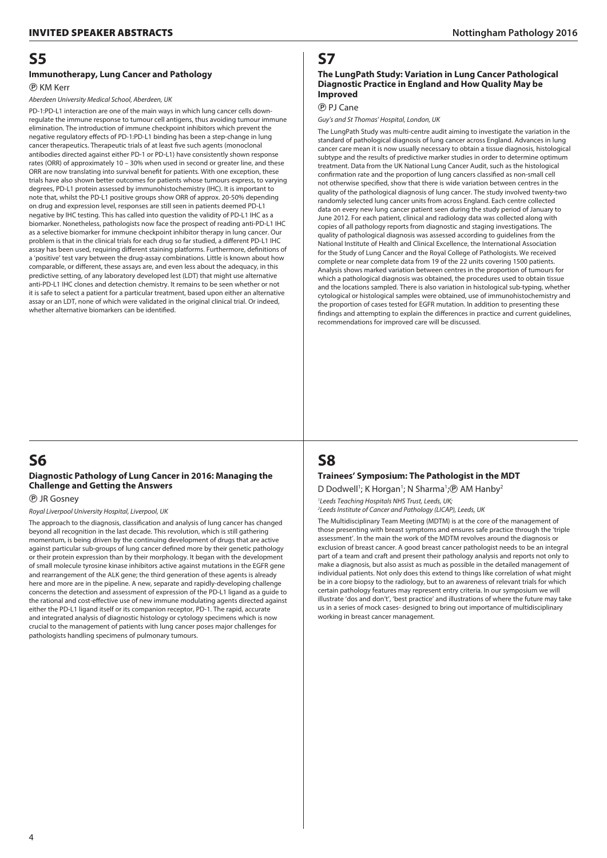#### **Immunotherapy, Lung Cancer and Pathology**

#### P KM Kerr

*Aberdeen University Medical School, Aberdeen, UK*

PD-1:PD-L1 interaction are one of the main ways in which lung cancer cells downregulate the immune response to tumour cell antigens, thus avoiding tumour immune elimination. The introduction of immune checkpoint inhibitors which prevent the negative regulatory effects of PD-1:PD-L1 binding has been a step-change in lung cancer therapeutics. Therapeutic trials of at least five such agents (monoclonal antibodies directed against either PD-1 or PD-L1) have consistently shown response rates (ORR) of approximately 10 – 30% when used in second or greater line, and these ORR are now translating into survival benefit for patients. With one exception, these trials have also shown better outcomes for patients whose tumours express, to varying degrees, PD-L1 protein assessed by immunohistochemistry (IHC). It is important to note that, whilst the PD-L1 positive groups show ORR of approx. 20-50% depending on drug and expression level, responses are still seen in patients deemed PD-L1 negative by IHC testing. This has called into question the validity of PD-L1 IHC as a biomarker. Nonetheless, pathologists now face the prospect of reading anti-PD-L1 IHC as a selective biomarker for immune checkpoint inhibitor therapy in lung cancer. Our problem is that in the clinical trials for each drug so far studied, a different PD-L1 IHC assay has been used, requiring different staining platforms. Furthermore, definitions of a 'positive' test vary between the drug-assay combinations. Little is known about how comparable, or different, these assays are, and even less about the adequacy, in this predictive setting, of any laboratory developed lest (LDT) that might use alternative anti-PD-L1 IHC clones and detection chemistry. It remains to be seen whether or not it is safe to select a patient for a particular treatment, based upon either an alternative assay or an LDT, none of which were validated in the original clinical trial. Or indeed, whether alternative biomarkers can be identified.

#### **S6 Diagnostic Pathology of Lung Cancer in 2016: Managing the Challenge and Getting the Answers**

P JR Gosney

#### *Royal Liverpool University Hospital, Liverpool, UK*

The approach to the diagnosis, classification and analysis of lung cancer has changed beyond all recognition in the last decade. This revolution, which is still gathering momentum, is being driven by the continuing development of drugs that are active against particular sub-groups of lung cancer defined more by their genetic pathology or their protein expression than by their morphology. It began with the development of small molecule tyrosine kinase inhibitors active against mutations in the EGFR gene and rearrangement of the ALK gene; the third generation of these agents is already here and more are in the pipeline. A new, separate and rapidly-developing challenge concerns the detection and assessment of expression of the PD-L1 ligand as a guide to the rational and cost-effective use of new immune modulating agents directed against either the PD-L1 ligand itself or its companion receptor, PD-1. The rapid, accurate and integrated analysis of diagnostic histology or cytology specimens which is now crucial to the management of patients with lung cancer poses major challenges for pathologists handling specimens of pulmonary tumours.

# **S7**

#### **The LungPath Study: Variation in Lung Cancer Pathological Diagnostic Practice in England and How Quality May be Improved**

#### P PJ Cane

*Guy's and St Thomas' Hospital, London, UK*

The LungPath Study was multi-centre audit aiming to investigate the variation in the standard of pathological diagnosis of lung cancer across England. Advances in lung cancer care mean it is now usually necessary to obtain a tissue diagnosis, histological subtype and the results of predictive marker studies in order to determine optimum treatment. Data from the UK National Lung Cancer Audit, such as the histological confirmation rate and the proportion of lung cancers classified as non-small cell not otherwise specified, show that there is wide variation between centres in the quality of the pathological diagnosis of lung cancer. The study involved twenty-two randomly selected lung cancer units from across England. Each centre collected data on every new lung cancer patient seen during the study period of January to June 2012. For each patient, clinical and radiology data was collected along with copies of all pathology reports from diagnostic and staging investigations. The quality of pathological diagnosis was assessed according to guidelines from the National Institute of Health and Clinical Excellence, the International Association for the Study of Lung Cancer and the Royal College of Pathologists. We received complete or near complete data from 19 of the 22 units covering 1500 patients. Analysis shows marked variation between centres in the proportion of tumours for which a pathological diagnosis was obtained, the procedures used to obtain tissue and the locations sampled. There is also variation in histological sub-typing, whether cytological or histological samples were obtained, use of immunohistochemistry and the proportion of cases tested for EGFR mutation. In addition to presenting these findings and attempting to explain the differences in practice and current guidelines, recommendations for improved care will be discussed.

# **S8**

#### **Trainees' Symposium: The Pathologist in the MDT**

D Dodwell<sup>1</sup>; K Horgan<sup>1</sup>; N Sharma<sup>1</sup>; ® AM Hanby<sup>2</sup>

*1 Leeds Teaching Hospitals NHS Trust, Leeds, UK; 2 Leeds Institute of Cancer and Pathology (LICAP), Leeds, UK*

The Multidisciplinary Team Meeting (MDTM) is at the core of the management of those presenting with breast symptoms and ensures safe practice through the 'triple assessment'. In the main the work of the MDTM revolves around the diagnosis or exclusion of breast cancer. A good breast cancer pathologist needs to be an integral part of a team and craft and present their pathology analysis and reports not only to make a diagnosis, but also assist as much as possible in the detailed management of individual patients. Not only does this extend to things like correlation of what might be in a core biopsy to the radiology, but to an awareness of relevant trials for which certain pathology features may represent entry criteria. In our symposium we will illustrate 'dos and don't', 'best practice' and illustrations of where the future may take us in a series of mock cases- designed to bring out importance of multidisciplinary working in breast cancer management.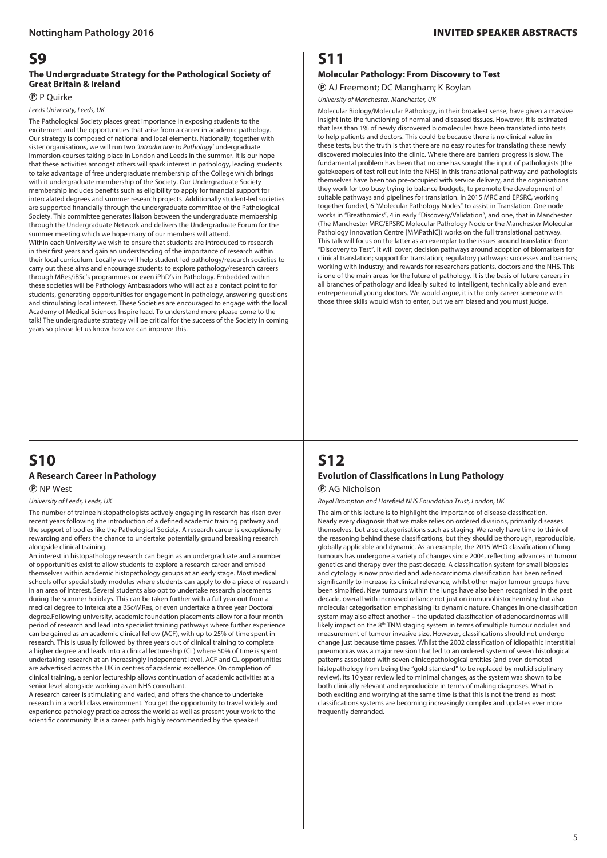#### **The Undergraduate Strategy for the Pathological Society of Great Britain & Ireland**

#### P P Quirke

#### *Leeds University, Leeds, UK*

The Pathological Society places great importance in exposing students to the excitement and the opportunities that arise from a career in academic pathology. Our strategy is composed of national and local elements. Nationally, together with sister organisations, we will run two *'Introduction to Pathology'* undergraduate immersion courses taking place in London and Leeds in the summer. It is our hope that these activities amongst others will spark interest in pathology, leading students to take advantage of free undergraduate membership of the College which brings with it undergraduate membership of the Society. Our Undergraduate Society membership includes benefits such as eligibility to apply for financial support for intercalated degrees and summer research projects. Additionally student-led societies are supported financially through the undergraduate committee of the Pathological Society. This committee generates liaison between the undergraduate membership through the Undergraduate Network and delivers the Undergraduate Forum for the summer meeting which we hope many of our members will attend. Within each University we wish to ensure that students are introduced to research in their first years and gain an understanding of the importance of research within their local curriculum. Locally we will help student-led pathology/research societies to carry out these aims and encourage students to explore pathology/research careers through MRes/iBSc's programmes or even iPhD's in Pathology. Embedded within these societies will be Pathology Ambassadors who will act as a contact point to for students, generating opportunities for engagement in pathology, answering questions and stimulating local interest. These Societies are encouraged to engage with the local Academy of Medical Sciences Inspire lead. To understand more please come to the talk! The undergraduate strategy will be critical for the success of the Society in coming years so please let us know how we can improve this.

### **S11 Molecular Pathology: From Discovery to Test**

# P AJ Freemont; DC Mangham; K Boylan

*University of Manchester, Manchester, UK*

Molecular Biology/Molecular Pathology, in their broadest sense, have given a massive insight into the functioning of normal and diseased tissues. However, it is estimated that less than 1% of newly discovered biomolecules have been translated into tests to help patients and doctors. This could be because there is no clinical value in these tests, but the truth is that there are no easy routes for translating these newly discovered molecules into the clinic. Where there are barriers progress is slow. The fundamental problem has been that no one has sought the input of pathologists (the gatekeepers of test roll out into the NHS) in this translational pathway and pathologists themselves have been too pre-occupied with service delivery, and the organisations they work for too busy trying to balance budgets, to promote the development of suitable pathways and pipelines for translation. In 2015 MRC and EPSRC, working together funded, 6 "Molecular Pathology Nodes" to assist in Translation. One node works in "Breathomics", 4 in early "Discovery/Validation", and one, that in Manchester (The Manchester MRC/EPSRC Molecular Pathology Node or the Manchester Molecular Pathology Innovation Centre [MMPathIC]) works on the full translational pathway. This talk will focus on the latter as an exemplar to the issues around translation from "Discovery to Test". It will cover; decision pathways around adoption of biomarkers for clinical translation; support for translation; regulatory pathways; successes and barriers; working with industry; and rewards for researchers patients, doctors and the NHS. This is one of the main areas for the future of pathology. It is the basis of future careers in all branches of pathology and ideally suited to intelligent, technically able and even entrepeneurial young doctors. We would argue, it is the only career someone with those three skills would wish to enter, but we am biased and you must judge.

# **S10**

### **A Research Career in Pathology**

P NP West

*University of Leeds, Leeds, UK*

The number of trainee histopathologists actively engaging in research has risen over recent years following the introduction of a defined academic training pathway and the support of bodies like the Pathological Society. A research career is exceptionally rewarding and offers the chance to undertake potentially ground breaking research alongside clinical training.

An interest in histopathology research can begin as an undergraduate and a number of opportunities exist to allow students to explore a research career and embed themselves within academic histopathology groups at an early stage. Most medical schools offer special study modules where students can apply to do a piece of research in an area of interest. Several students also opt to undertake research placements during the summer holidays. This can be taken further with a full year out from a medical degree to intercalate a BSc/MRes, or even undertake a three year Doctoral degree.Following university, academic foundation placements allow for a four month period of research and lead into specialist training pathways where further experience can be gained as an academic clinical fellow (ACF), with up to 25% of time spent in research. This is usually followed by three years out of clinical training to complete a higher degree and leads into a clinical lectureship (CL) where 50% of time is spent undertaking research at an increasingly independent level. ACF and CL opportunities are advertised across the UK in centres of academic excellence. On completion of clinical training, a senior lectureship allows continuation of academic activities at a senior level alongside working as an NHS consultant.

A research career is stimulating and varied, and offers the chance to undertake research in a world class environment. You get the opportunity to travel widely and experience pathology practice across the world as well as present your work to the scientific community. It is a career path highly recommended by the speaker!

# **S12**

# **Evolution of Classifications in Lung Pathology**

P AG Nicholson

*Royal Brompton and Harefield NHS Foundation Trust, London, UK*

The aim of this lecture is to highlight the importance of disease classification. Nearly every diagnosis that we make relies on ordered divisions, primarily diseases themselves, but also categorisations such as staging. We rarely have time to think of the reasoning behind these classifications, but they should be thorough, reproducible, globally applicable and dynamic. As an example, the 2015 WHO classification of lung tumours has undergone a variety of changes since 2004, reflecting advances in tumour genetics and therapy over the past decade. A classification system for small biopsies and cytology is now provided and adenocarcinoma classification has been refined significantly to increase its clinical relevance, whilst other major tumour groups have been simplified. New tumours within the lungs have also been recognised in the past decade, overall with increased reliance not just on immunohistochemistry but also molecular categorisation emphasising its dynamic nature. Changes in one classification system may also affect another – the updated classification of adenocarcinomas will likely impact on the 8<sup>th</sup> TNM staging system in terms of multiple tumour nodules and measurement of tumour invasive size. However, classifications should not undergo change just because time passes. Whilst the 2002 classification of idiopathic interstitial pneumonias was a major revision that led to an ordered system of seven histological patterns associated with seven clinicopathological entities (and even demoted histopathology from being the "gold standard" to be replaced by multidisciplinary review), its 10 year review led to minimal changes, as the system was shown to be both clinically relevant and reproducible in terms of making diagnoses. What is both exciting and worrying at the same time is that this is not the trend as most classifications systems are becoming increasingly complex and updates ever more frequently demanded.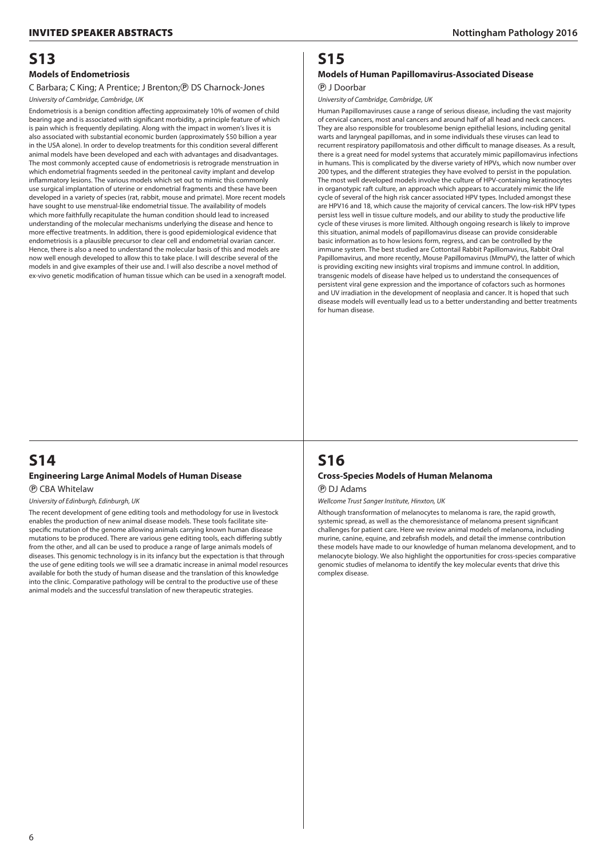### **Models of Endometriosis**

C Barbara; C King; A Prentice; J Brenton;P DS Charnock-Jones *University of Cambridge, Cambridge, UK*

Endometriosis is a benign condition affecting approximately 10% of women of child bearing age and is associated with significant morbidity, a principle feature of which is pain which is frequently depilating. Along with the impact in women's lives it is also associated with substantial economic burden (approximately \$50 billion a year in the USA alone). In order to develop treatments for this condition several different animal models have been developed and each with advantages and disadvantages. The most commonly accepted cause of endometriosis is retrograde menstruation in which endometrial fragments seeded in the peritoneal cavity implant and develop inflammatory lesions. The various models which set out to mimic this commonly use surgical implantation of uterine or endometrial fragments and these have been developed in a variety of species (rat, rabbit, mouse and primate). More recent models have sought to use menstrual-like endometrial tissue. The availability of models which more faithfully recapitulate the human condition should lead to increased understanding of the molecular mechanisms underlying the disease and hence to more effective treatments. In addition, there is good epidemiological evidence that endometriosis is a plausible precursor to clear cell and endometrial ovarian cancer. Hence, there is also a need to understand the molecular basis of this and models are now well enough developed to allow this to take place. I will describe several of the models in and give examples of their use and. I will also describe a novel method of ex-vivo genetic modification of human tissue which can be used in a xenograft model.

### **S14 Engineering Large Animal Models of Human Disease**

P CBA Whitelaw

*University of Edinburgh, Edinburgh, UK*

The recent development of gene editing tools and methodology for use in livestock enables the production of new animal disease models. These tools facilitate sitespecific mutation of the genome allowing animals carrying known human disease mutations to be produced. There are various gene editing tools, each differing subtly from the other, and all can be used to produce a range of large animals models of diseases. This genomic technology is in its infancy but the expectation is that through the use of gene editing tools we will see a dramatic increase in animal model resources available for both the study of human disease and the translation of this knowledge into the clinic. Comparative pathology will be central to the productive use of these animal models and the successful translation of new therapeutic strategies.

# **S15**

#### **Models of Human Papillomavirus-Associated Disease** P J Doorbar

*University of Cambridge, Cambridge, UK*

Human Papillomaviruses cause a range of serious disease, including the vast majority of cervical cancers, most anal cancers and around half of all head and neck cancers. They are also responsible for troublesome benign epithelial lesions, including genital warts and laryngeal papillomas, and in some individuals these viruses can lead to recurrent respiratory papillomatosis and other difficult to manage diseases. As a result, there is a great need for model systems that accurately mimic papillomavirus infections in humans. This is complicated by the diverse variety of HPVs, which now number over 200 types, and the different strategies they have evolved to persist in the population. The most well developed models involve the culture of HPV-containing keratinocytes in organotypic raft culture, an approach which appears to accurately mimic the life cycle of several of the high risk cancer associated HPV types. Included amongst these are HPV16 and 18, which cause the majority of cervical cancers. The low-risk HPV types persist less well in tissue culture models, and our ability to study the productive life cycle of these viruses is more limited. Although ongoing research is likely to improve this situation, animal models of papillomavirus disease can provide considerable basic information as to how lesions form, regress, and can be controlled by the immune system. The best studied are Cottontail Rabbit Papillomavirus, Rabbit Oral Papillomavirus, and more recently, Mouse Papillomavirus (MmuPV), the latter of which is providing exciting new insights viral tropisms and immune control. In addition, transgenic models of disease have helped us to understand the consequences of persistent viral gene expression and the importance of cofactors such as hormones and UV irradiation in the development of neoplasia and cancer. It is hoped that such disease models will eventually lead us to a better understanding and better treatments for human disease.

# **S16**

### **Cross-Species Models of Human Melanoma**

P DJ Adams

*Wellcome Trust Sanger Institute, Hinxton, UK*

Although transformation of melanocytes to melanoma is rare, the rapid growth, systemic spread, as well as the chemoresistance of melanoma present significant challenges for patient care. Here we review animal models of melanoma, including murine, canine, equine, and zebrafish models, and detail the immense contribution these models have made to our knowledge of human melanoma development, and to melanocyte biology. We also highlight the opportunities for cross-species comparative genomic studies of melanoma to identify the key molecular events that drive this complex disease.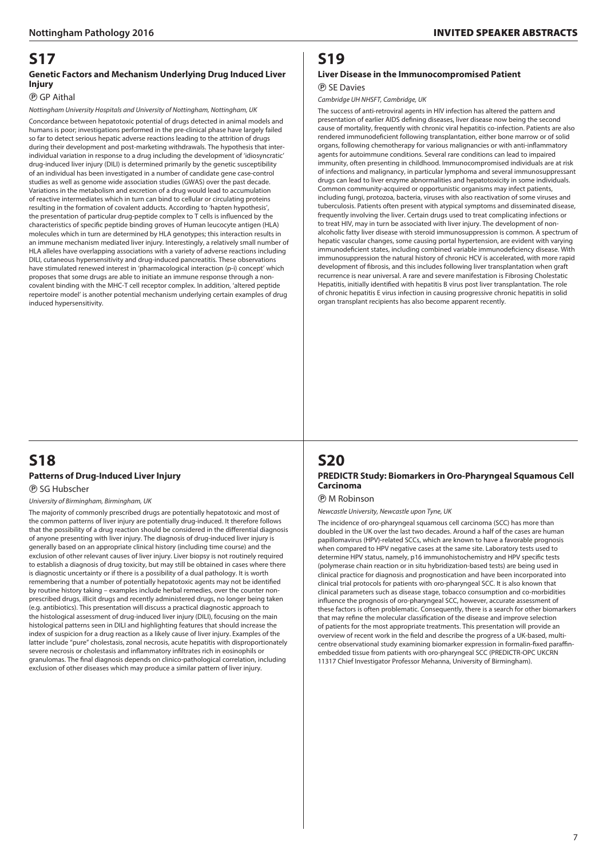#### **Genetic Factors and Mechanism Underlying Drug Induced Liver Injury**

#### P GP Aithal

*Nottingham University Hospitals and University of Nottingham, Nottingham, UK*

Concordance between hepatotoxic potential of drugs detected in animal models and humans is poor; investigations performed in the pre-clinical phase have largely failed so far to detect serious hepatic adverse reactions leading to the attrition of drugs during their development and post-marketing withdrawals. The hypothesis that interindividual variation in response to a drug including the development of 'idiosyncratic' drug-induced liver injury (DILI) is determined primarily by the genetic susceptibility of an individual has been investigated in a number of candidate gene case-control studies as well as genome wide association studies (GWAS) over the past decade. Variations in the metabolism and excretion of a drug would lead to accumulation of reactive intermediates which in turn can bind to cellular or circulating proteins resulting in the formation of covalent adducts. According to 'hapten hypothesis', the presentation of particular drug-peptide complex to T cells is influenced by the characteristics of specific peptide binding groves of Human leucocyte antigen (HLA) molecules which in turn are determined by HLA genotypes; this interaction results in an immune mechanism mediated liver injury. Interestingly, a relatively small number of HLA alleles have overlapping associations with a variety of adverse reactions including DILI, cutaneous hypersensitivity and drug-induced pancreatitis. These observations have stimulated renewed interest in 'pharmacological interaction (p-i) concept' which proposes that some drugs are able to initiate an immune response through a noncovalent binding with the MHC-T cell receptor complex. In addition, 'altered peptide repertoire model' is another potential mechanism underlying certain examples of drug induced hypersensitivity.

### **S18 Patterns of Drug-Induced Liver Injury**

#### P SG Hubscher

*University of Birmingham, Birmingham, UK*

The majority of commonly prescribed drugs are potentially hepatotoxic and most of the common patterns of liver injury are potentially drug-induced. It therefore follows that the possibility of a drug reaction should be considered in the differential diagnosis of anyone presenting with liver injury. The diagnosis of drug-induced liver injury is generally based on an appropriate clinical history (including time course) and the exclusion of other relevant causes of liver injury. Liver biopsy is not routinely required to establish a diagnosis of drug toxicity, but may still be obtained in cases where there is diagnostic uncertainty or if there is a possibility of a dual pathology. It is worth remembering that a number of potentially hepatotoxic agents may not be identified by routine history taking – examples include herbal remedies, over the counter nonprescribed drugs, illicit drugs and recently administered drugs, no longer being taken (e.g. antibiotics). This presentation will discuss a practical diagnostic approach to the histological assessment of drug-induced liver injury (DILI), focusing on the main histological patterns seen in DILI and highlighting features that should increase the index of suspicion for a drug reaction as a likely cause of liver injury. Examples of the latter include "pure" cholestasis, zonal necrosis, acute hepatitis with disproportionately severe necrosis or cholestasis and inflammatory infiltrates rich in eosinophils or granulomas. The final diagnosis depends on clinico-pathological correlation, including exclusion of other diseases which may produce a similar pattern of liver injury.

# **S19**

#### **Liver Disease in the Immunocompromised Patient** P SE Davies

*Cambridge UH NHSFT, Cambridge, UK*

The success of anti-retroviral agents in HIV infection has altered the pattern and presentation of earlier AIDS defining diseases, liver disease now being the second cause of mortality, frequently with chronic viral hepatitis co-infection. Patients are also rendered immunodeficient following transplantation, either bone marrow or of solid organs, following chemotherapy for various malignancies or with anti-inflammatory agents for autoimmune conditions. Several rare conditions can lead to impaired immunity, often presenting in childhood. Immunocompromised individuals are at risk of infections and malignancy, in particular lymphoma and several immunosuppressant drugs can lead to liver enzyme abnormalities and hepatotoxicity in some individuals. Common community-acquired or opportunistic organisms may infect patients, including fungi, protozoa, bacteria, viruses with also reactivation of some viruses and tuberculosis. Patients often present with atypical symptoms and disseminated disease, frequently involving the liver. Certain drugs used to treat complicating infections or to treat HIV, may in turn be associated with liver injury. The development of nonalcoholic fatty liver disease with steroid immunosuppression is common. A spectrum of hepatic vascular changes, some causing portal hypertension, are evident with varying immunodeficient states, including combined variable immunodeficiency disease. With immunosuppression the natural history of chronic HCV is accelerated, with more rapid development of fibrosis, and this includes following liver transplantation when graft recurrence is near universal. A rare and severe manifestation is Fibrosing Cholestatic Hepatitis, initially identified with hepatitis B virus post liver transplantation. The role of chronic hepatitis E virus infection in causing progressive chronic hepatitis in solid organ transplant recipients has also become apparent recently.

# **S20**

#### **PREDICTR Study: Biomarkers in Oro-Pharyngeal Squamous Cell Carcinoma**

#### P M Robinson

*Newcastle University, Newcastle upon Tyne, UK*

The incidence of oro-pharyngeal squamous cell carcinoma (SCC) has more than doubled in the UK over the last two decades. Around a half of the cases are human papillomavirus (HPV)-related SCCs, which are known to have a favorable prognosis when compared to HPV negative cases at the same site. Laboratory tests used to determine HPV status, namely, p16 immunohistochemistry and HPV specific tests (polymerase chain reaction or in situ hybridization-based tests) are being used in clinical practice for diagnosis and prognostication and have been incorporated into clinical trial protocols for patients with oro-pharyngeal SCC. It is also known that clinical parameters such as disease stage, tobacco consumption and co-morbidities influence the prognosis of oro-pharyngeal SCC, however, accurate assessment of these factors is often problematic. Consequently, there is a search for other biomarkers that may refine the molecular classification of the disease and improve selection of patients for the most appropriate treatments. This presentation will provide an overview of recent work in the field and describe the progress of a UK-based, multicentre observational study examining biomarker expression in formalin-fixed paraffinembedded tissue from patients with oro-pharyngeal SCC (PREDICTR-OPC UKCRN 11317 Chief Investigator Professor Mehanna, University of Birmingham).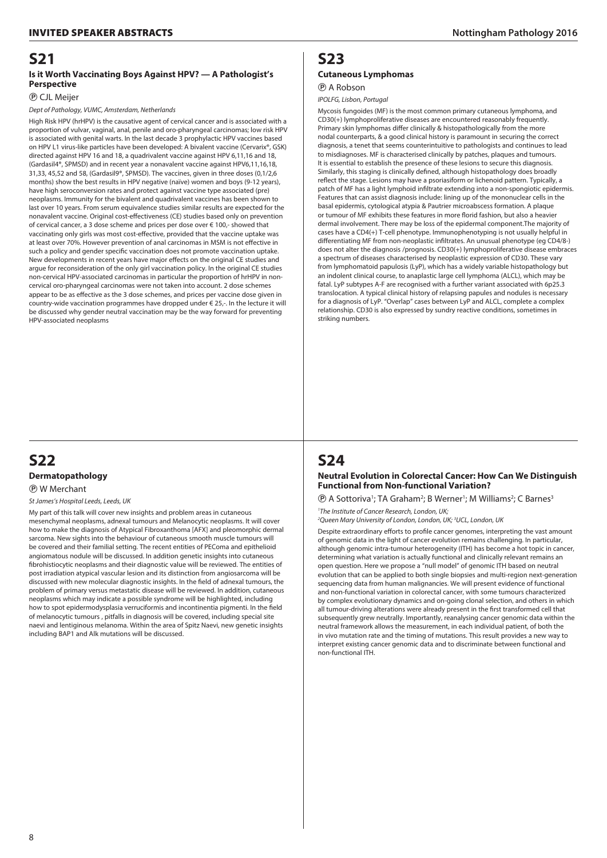#### **Is it Worth Vaccinating Boys Against HPV? — A Pathologist's Perspective**

P CJL Meijer

#### *Dept of Pathology, VUMC, Amsterdam, Netherlands*

High Risk HPV (hrHPV) is the causative agent of cervical cancer and is associated with a proportion of vulvar, vaginal, anal, penile and oro-pharyngeal carcinomas; low risk HPV is associated with genital warts. In the last decade 3 prophylactic HPV vaccines based on HPV L1 virus-like particles have been developed: A bivalent vaccine (Cervarix®, GSK) directed against HPV 16 and 18, a quadrivalent vaccine against HPV 6,11,16 and 18, (Gardasil4®, SPMSD) and in recent year a nonavalent vaccine against HPV6,11,16,18, 31,33, 45,52 and 58, (Gardasil9®, SPMSD). The vaccines, given in three doses (0,1/2,6 months) show the best results in HPV negative (naïve) women and boys (9-12 years), have high seroconversion rates and protect against vaccine type associated (pre) neoplasms. Immunity for the bivalent and quadrivalent vaccines has been shown to last over 10 years. From serum equivalence studies similar results are expected for the nonavalent vaccine. Original cost-effectiveness (CE) studies based only on prevention of cervical cancer, a 3 dose scheme and prices per dose over € 100,- showed that vaccinating only girls was most cost-effective, provided that the vaccine uptake was at least over 70%. However prevention of anal carcinomas in MSM is not effective in such a policy and gender specific vaccination does not promote vaccination uptake. New developments in recent years have major effects on the original CE studies and argue for reconsideration of the only girl vaccination policy. In the original CE studies non-cervical HPV-associated carcinomas in particular the proportion of hrHPV in noncervical oro-pharyngeal carcinomas were not taken into account. 2 dose schemes appear to be as effective as the 3 dose schemes, and prices per vaccine dose given in country-wide vaccination programmes have dropped under € 25,-. In the lecture it will be discussed why gender neutral vaccination may be the way forward for preventing HPV-associated neoplasms

# **S23 Cutaneous Lymphomas**

P A Robson

*IPOLFG, Lisbon, Portugal*

Mycosis fungoides (MF) is the most common primary cutaneous lymphoma, and CD30(+) lymphoproliferative diseases are encountered reasonably frequently. Primary skin lymphomas differ clinically & histopathologically from the more nodal counterparts, & a good clinical history is paramount in securing the correct diagnosis, a tenet that seems counterintuitive to pathologists and continues to lead to misdiagnoses. MF is characterised clinically by patches, plaques and tumours. It is essential to establish the presence of these lesions to secure this diagnosis. Similarly, this staging is clinically defined, although histopathology does broadly reflect the stage. Lesions may have a psoriasiform or lichenoid pattern. Typically, a patch of MF has a light lymphoid infiltrate extending into a non-spongiotic epidermis. Features that can assist diagnosis include: lining up of the mononuclear cells in the basal epidermis, cytological atypia & Pautrier microabscess formation. A plaque or tumour of MF exhibits these features in more florid fashion, but also a heavier dermal involvement. There may be loss of the epidermal component.The majority of cases have a CD4(+) T-cell phenotype. Immunophenotyping is not usually helpful in differentiating MF from non-neoplastic infiltrates. An unusual phenotype (eg CD4/8-) does not alter the diagnosis /prognosis. CD30(+) lymphoproliferative disease embraces a spectrum of diseases characterised by neoplastic expression of CD30. These vary from lymphomatoid papulosis (LyP), which has a widely variable histopathology but an indolent clinical course, to anaplastic large cell lymphoma (ALCL), which may be fatal. LyP subtypes A-F are recognised with a further variant associated with 6p25.3 translocation. A typical clinical history of relapsing papules and nodules is necessary for a diagnosis of LyP. "Overlap" cases between LyP and ALCL, complete a complex relationship. CD30 is also expressed by sundry reactive conditions, sometimes in striking numbers.

### **S22 Dermatopathology**

#### P W Merchant

*St James's Hospital Leeds, Leeds, UK*

My part of this talk will cover new insights and problem areas in cutaneous mesenchymal neoplasms, adnexal tumours and Melanocytic neoplasms. It will cover how to make the diagnosis of Atypical Fibroxanthoma [AFX] and pleomorphic dermal sarcoma. New sights into the behaviour of cutaneous smooth muscle tumours will be covered and their familial setting. The recent entities of PEComa and epithelioid angiomatous nodule will be discussed. In addition genetic insights into cutaneous fibrohistiocytic neoplasms and their diagnostic value will be reviewed. The entities of post irradiation atypical vascular lesion and its distinction from angiosarcoma will be discussed with new molecular diagnostic insights. In the field of adnexal tumours, the problem of primary versus metastatic disease will be reviewed. In addition, cutaneous neoplasms which may indicate a possible syndrome will be highlighted, including how to spot epidermodysplasia verruciformis and incontinentia pigmenti. In the field of melanocytic tumours , pitfalls in diagnosis will be covered, including special site naevi and lentiginous melanoma. Within the area of Spitz Naevi, new genetic insights including BAP1 and Alk mutations will be discussed.

# **S24**

#### **Neutral Evolution in Colorectal Cancer: How Can We Distinguish Functional from Non-functional Variation?**

**(B)** A Sottoriva<sup>1</sup>; TA Graham<sup>2</sup>; B Werner<sup>1</sup>; M Williams<sup>2</sup>; C Barnes<sup>3</sup>

*1 The Institute of Cancer Research, London, UK;* 

*2 Queen Mary University of London, London, UK; 3 UCL, London, UK*

Despite extraordinary efforts to profile cancer genomes, interpreting the vast amount of genomic data in the light of cancer evolution remains challenging. In particular, although genomic intra-tumour heterogeneity (ITH) has become a hot topic in cancer, determining what variation is actually functional and clinically relevant remains an open question. Here we propose a "null model" of genomic ITH based on neutral evolution that can be applied to both single biopsies and multi-region next-generation sequencing data from human malignancies. We will present evidence of functional and non-functional variation in colorectal cancer, with some tumours characterized by complex evolutionary dynamics and on-going clonal selection, and others in which all tumour-driving alterations were already present in the first transformed cell that subsequently grew neutrally. Importantly, reanalysing cancer genomic data within the neutral framework allows the measurement, in each individual patient, of both the in vivo mutation rate and the timing of mutations. This result provides a new way to interpret existing cancer genomic data and to discriminate between functional and non-functional ITH.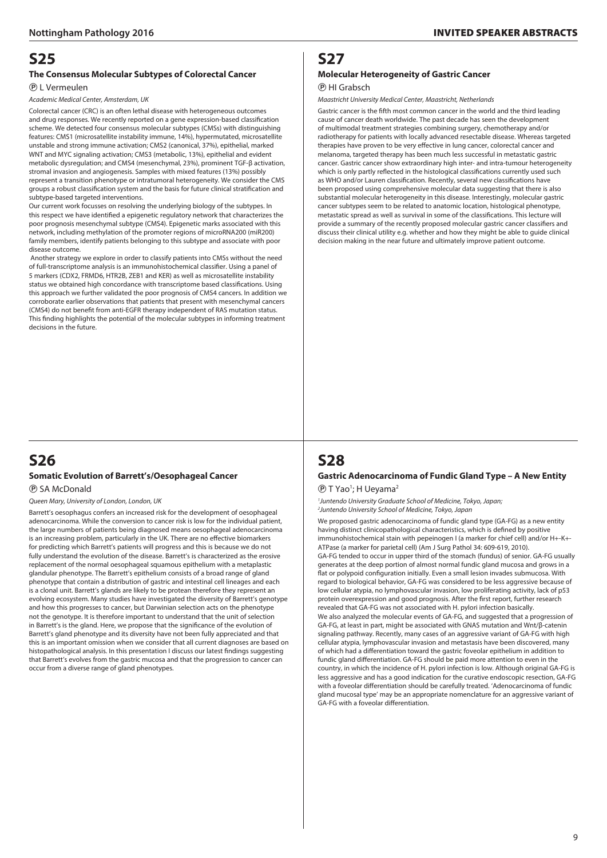#### **The Consensus Molecular Subtypes of Colorectal Cancer**

P L Vermeulen

*Academic Medical Center, Amsterdam, UK*

Colorectal cancer (CRC) is an often lethal disease with heterogeneous outcomes and drug responses. We recently reported on a gene expression-based classification scheme. We detected four consensus molecular subtypes (CMSs) with distinguishing features: CMS1 (microsatellite instability immune, 14%), hypermutated, microsatellite unstable and strong immune activation; CMS2 (canonical, 37%), epithelial, marked WNT and MYC signaling activation; CMS3 (metabolic, 13%), epithelial and evident metabolic dysregulation; and CMS4 (mesenchymal, 23%), prominent TGF-β activation, stromal invasion and angiogenesis. Samples with mixed features (13%) possibly represent a transition phenotype or intratumoral heterogeneity. We consider the CMS groups a robust classification system and the basis for future clinical stratification and subtype-based targeted interventions.

Our current work focusses on resolving the underlying biology of the subtypes. In this respect we have identified a epigenetic regulatory network that characterizes the poor prognosis mesenchymal subtype (CMS4). Epigenetic marks associated with this network, including methylation of the promoter regions of microRNA200 (miR200) family members, identify patients belonging to this subtype and associate with poor disease outcome.

Another strategy we explore in order to classify patients into CMSs without the need of full-transcriptome analysis is an immunohistochemical classifier. Using a panel of 5 markers (CDX2, FRMD6, HTR2B, ZEB1 and KER) as well as microsatellite instability status we obtained high concordance with transcriptome based classifications. Using this approach we further validated the poor prognosis of CMS4 cancers. In addition we corroborate earlier observations that patients that present with mesenchymal cancers (CMS4) do not benefit from anti-EGFR therapy independent of RAS mutation status. This finding highlights the potential of the molecular subtypes in informing treatment decisions in the future.

# **S27**

#### **Molecular Heterogeneity of Gastric Cancer** P HI Grabsch

*Maastricht University Medical Center, Maastricht, Netherlands*

Gastric cancer is the fifth most common cancer in the world and the third leading cause of cancer death worldwide. The past decade has seen the development of multimodal treatment strategies combining surgery, chemotherapy and/or radiotherapy for patients with locally advanced resectable disease. Whereas targeted therapies have proven to be very effective in lung cancer, colorectal cancer and melanoma, targeted therapy has been much less successful in metastatic gastric cancer. Gastric cancer show extraordinary high inter- and intra-tumour heterogeneity which is only partly reflected in the histological classifications currently used such as WHO and/or Lauren classification. Recently, several new classifications have been proposed using comprehensive molecular data suggesting that there is also substantial molecular heterogeneity in this disease. Interestingly, molecular gastric cancer subtypes seem to be related to anatomic location, histological phenotype, metastatic spread as well as survival in some of the classifications. This lecture will provide a summary of the recently proposed molecular gastric cancer classifiers and discuss their clinical utility e.g. whether and how they might be able to guide clinical decision making in the near future and ultimately improve patient outcome.

# **S28**

#### **Gastric Adenocarcinoma of Fundic Gland Type – A New Entity**  $(D)$  T Yao<sup>1</sup>; H Ueyama<sup>2</sup>

*1 Juntendo University Graduate School of Medicine, Tokyo, Japan; 2 Juntendo University School of Medicine, Tokyo, Japan*

We proposed gastric adenocarcinoma of fundic gland type (GA-FG) as a new entity having distinct clinicopathological characteristics, which is defined by positive immunohistochemical stain with pepeinogen I (a marker for chief cell) and/or H+-K+- ATPase (a marker for parietal cell) (Am J Surg Pathol 34: 609-619, 2010). GA-FG tended to occur in upper third of the stomach (fundus) of senior. GA-FG usually generates at the deep portion of almost normal fundic gland mucosa and grows in a flat or polypoid configuration initially. Even a small lesion invades submucosa. With regard to biological behavior, GA-FG was considered to be less aggressive because of low cellular atypia, no lymphovascular invasion, low proliferating activity, lack of p53 protein overexpression and good prognosis. After the first report, further research revealed that GA-FG was not associated with H. pylori infection basically. We also analyzed the molecular events of GA-FG, and suggested that a progression of GA-FG, at least in part, might be associated with GNAS mutation and Wnt/β-catenin signaling pathway. Recently, many cases of an aggressive variant of GA-FG with high cellular atypia, lymphovascular invasion and metastasis have been discovered, many of which had a differentiation toward the gastric foveolar epithelium in addition to fundic gland differentiation. GA-FG should be paid more attention to even in the country, in which the incidence of H. pylori infection is low. Although original GA-FG is less aggressive and has a good indication for the curative endoscopic resection, GA-FG with a foveolar differentiation should be carefully treated. 'Adenocarcinoma of fundic gland mucosal type' may be an appropriate nomenclature for an aggressive variant of GA-FG with a foveolar differentiation.

### **S26 Somatic Evolution of Barrett's/Oesophageal Cancer**

P SA McDonald

*Queen Mary, University of London, London, UK*

Barrett's oesophagus confers an increased risk for the development of oesophageal adenocarcinoma. While the conversion to cancer risk is low for the individual patient, the large numbers of patients being diagnosed means oesophageal adenocarcinoma is an increasing problem, particularly in the UK. There are no effective biomarkers for predicting which Barrett's patients will progress and this is because we do not fully understand the evolution of the disease. Barrett's is characterized as the erosive replacement of the normal oesophageal squamous epithelium with a metaplastic glandular phenotype. The Barrett's epithelium consists of a broad range of gland phenotype that contain a distribution of gastric and intestinal cell lineages and each is a clonal unit. Barrett's glands are likely to be protean therefore they represent an evolving ecosystem. Many studies have investigated the diversity of Barrett's genotype and how this progresses to cancer, but Darwinian selection acts on the phenotype not the genotype. It is therefore important to understand that the unit of selection in Barrett's is the gland. Here, we propose that the significance of the evolution of Barrett's gland phenotype and its diversity have not been fully appreciated and that this is an important omission when we consider that all current diagnoses are based on histopathological analysis. In this presentation I discuss our latest findings suggesting that Barrett's evolves from the gastric mucosa and that the progression to cancer can occur from a diverse range of gland phenotypes.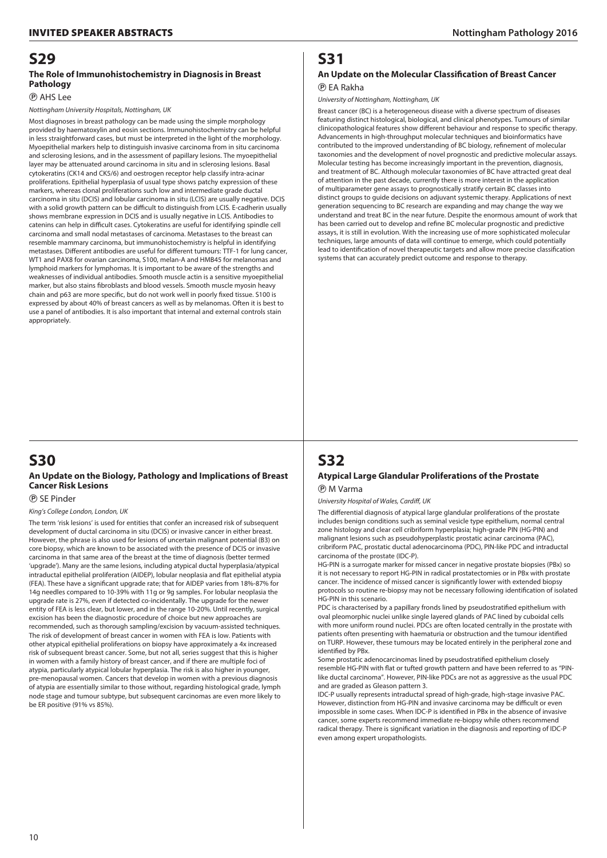#### **The Role of Immunohistochemistry in Diagnosis in Breast Pathology**

P AHS Lee

#### *Nottingham University Hospitals, Nottingham, UK*

Most diagnoses in breast pathology can be made using the simple morphology provided by haematoxylin and eosin sections. Immunohistochemistry can be helpful in less straightforward cases, but must be interpreted in the light of the morphology. Myoepithelial markers help to distinguish invasive carcinoma from in situ carcinoma and sclerosing lesions, and in the assessment of papillary lesions. The myoepithelial layer may be attenuated around carcinoma in situ and in sclerosing lesions. Basal cytokeratins (CK14 and CK5/6) and oestrogen receptor help classify intra-acinar proliferations. Epithelial hyperplasia of usual type shows patchy expression of these markers, whereas clonal proliferations such low and intermediate grade ductal carcinoma in situ (DCIS) and lobular carcinoma in situ (LCIS) are usually negative. DCIS with a solid growth pattern can be difficult to distinguish from LCIS. E-cadherin usually shows membrane expression in DCIS and is usually negative in LCIS. Antibodies to catenins can help in difficult cases. Cytokeratins are useful for identifying spindle cell carcinoma and small nodal metastases of carcinoma. Metastases to the breast can resemble mammary carcinoma, but immunohistochemistry is helpful in identifying metastases. Different antibodies are useful for different tumours: TTF-1 for lung cancer, WT1 and PAX8 for ovarian carcinoma, S100, melan-A and HMB45 for melanomas and lymphoid markers for lymphomas. It is important to be aware of the strengths and weaknesses of individual antibodies. Smooth muscle actin is a sensitive myoepithelial marker, but also stains fibroblasts and blood vessels. Smooth muscle myosin heavy chain and p63 are more specific, but do not work well in poorly fixed tissue. S100 is expressed by about 40% of breast cancers as well as by melanomas. Often it is best to use a panel of antibodies. It is also important that internal and external controls stain appropriately.

# **S30**

#### **An Update on the Biology, Pathology and Implications of Breast Cancer Risk Lesions**

P SE Pinder

#### *King's College London, London, UK*

The term 'risk lesions' is used for entities that confer an increased risk of subsequent development of ductal carcinoma in situ (DCIS) or invasive cancer in either breast. However, the phrase is also used for lesions of uncertain malignant potential (B3) on core biopsy, which are known to be associated with the presence of DCIS or invasive carcinoma in that same area of the breast at the time of diagnosis (better termed 'upgrade'). Many are the same lesions, including atypical ductal hyperplasia/atypical intraductal epithelial proliferation (AIDEP), lobular neoplasia and flat epithelial atypia (FEA). These have a significant upgrade rate; that for AIDEP varies from 18%-87% for 14g needles compared to 10-39% with 11g or 9g samples. For lobular neoplasia the upgrade rate is 27%, even if detected co-incidentally. The upgrade for the newer entity of FEA is less clear, but lower, and in the range 10-20%. Until recently, surgical excision has been the diagnostic procedure of choice but new approaches are recommended, such as thorough sampling/excision by vacuum-assisted techniques. The risk of development of breast cancer in women with FEA is low. Patients with other atypical epithelial proliferations on biopsy have approximately a 4x increased risk of subsequent breast cancer. Some, but not all, series suggest that this is higher in women with a family history of breast cancer, and if there are multiple foci of atypia, particularly atypical lobular hyperplasia. The risk is also higher in younger, pre-menopausal women. Cancers that develop in women with a previous diagnosis of atypia are essentially similar to those without, regarding histological grade, lymph node stage and tumour subtype, but subsequent carcinomas are even more likely to be ER positive (91% vs 85%).

# **S31**

#### **An Update on the Molecular Classification of Breast Cancer** P EA Rakha

*University of Nottingham, Nottingham, UK*

Breast cancer (BC) is a heterogeneous disease with a diverse spectrum of diseases featuring distinct histological, biological, and clinical phenotypes. Tumours of similar clinicopathological features show different behaviour and response to specific therapy. Advancements in high-throughput molecular techniques and bioinformatics have contributed to the improved understanding of BC biology, refinement of molecular taxonomies and the development of novel prognostic and predictive molecular assays. Molecular testing has become increasingly important in the prevention, diagnosis, and treatment of BC. Although molecular taxonomies of BC have attracted great deal of attention in the past decade, currently there is more interest in the application of multiparameter gene assays to prognostically stratify certain BC classes into distinct groups to guide decisions on adjuvant systemic therapy. Applications of next generation sequencing to BC research are expanding and may change the way we understand and treat BC in the near future. Despite the enormous amount of work that has been carried out to develop and refine BC molecular prognostic and predictive assays, it is still in evolution. With the increasing use of more sophisticated molecular techniques, large amounts of data will continue to emerge, which could potentially lead to identification of novel therapeutic targets and allow more precise classification systems that can accurately predict outcome and response to therapy.

# **S32**

#### **Atypical Large Glandular Proliferations of the Prostate** P M Varma

*University Hospital of Wales, Cardiff, UK*

The differential diagnosis of atypical large glandular proliferations of the prostate includes benign conditions such as seminal vesicle type epithelium, normal central zone histology and clear cell cribriform hyperplasia; high-grade PIN (HG-PIN) and malignant lesions such as pseudohyperplastic prostatic acinar carcinoma (PAC), cribriform PAC, prostatic ductal adenocarcinoma (PDC), PIN-like PDC and intraductal carcinoma of the prostate (IDC-P).

HG-PIN is a surrogate marker for missed cancer in negative prostate biopsies (PBx) so it is not necessary to report HG-PIN in radical prostatectomies or in PBx with prostate cancer. The incidence of missed cancer is significantly lower with extended biopsy protocols so routine re-biopsy may not be necessary following identification of isolated HG-PIN in this scenario.

PDC is characterised by a papillary fronds lined by pseudostratified epithelium with oval pleomorphic nuclei unlike single layered glands of PAC lined by cuboidal cells with more uniform round nuclei. PDCs are often located centrally in the prostate with patients often presenting with haematuria or obstruction and the tumour identified on TURP. However, these tumours may be located entirely in the peripheral zone and identified by PBx.

Some prostatic adenocarcinomas lined by pseudostratified epithelium closely resemble HG-PIN with flat or tufted growth pattern and have been referred to as "PINlike ductal carcinoma". However, PIN-like PDCs are not as aggressive as the usual PDC and are graded as Gleason pattern 3.

IDC-P usually represents intraductal spread of high-grade, high-stage invasive PAC. However, distinction from HG-PIN and invasive carcinoma may be difficult or even impossible in some cases. When IDC-P is identified in PBx in the absence of invasive cancer, some experts recommend immediate re-biopsy while others recommend radical therapy. There is significant variation in the diagnosis and reporting of IDC-P even among expert uropathologists.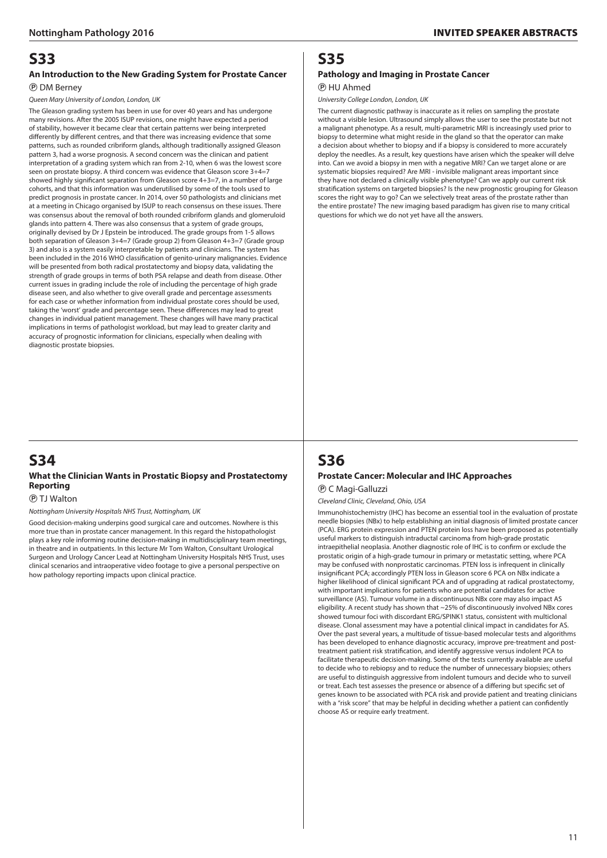#### **An Introduction to the New Grading System for Prostate Cancer** P DM Berney

*Queen Mary University of London, London, UK*

The Gleason grading system has been in use for over 40 years and has undergone many revisions. After the 2005 ISUP revisions, one might have expected a period of stability, however it became clear that certain patterns wer being interpreted differently by different centres, and that there was increasing evidence that some patterns, such as rounded cribriform glands, although traditionally assigned Gleason pattern 3, had a worse prognosis. A second concern was the clinican and patient interpretation of a grading system which ran from 2-10, when 6 was the lowest score seen on prostate biopsy. A third concern was evidence that Gleason score 3+4=7 showed highly significant separation from Gleason score 4+3=7, in a number of large cohorts, and that this information was underutilised by some of the tools used to predict prognosis in prostate cancer. In 2014, over 50 pathologists and clinicians met at a meeting in Chicago organised by ISUP to reach consensus on these issues. There was consensus about the removal of both rounded cribriform glands and glomeruloid glands into pattern 4. There was also consensus that a system of grade groups, originally devised by Dr J Epstein be introduced. The grade groups from 1-5 allows both separation of Gleason 3+4=7 (Grade group 2) from Gleason 4+3=7 (Grade group 3) and also is a system easily interpretable by patients and clinicians. The system has been included in the 2016 WHO classification of genito-urinary malignancies. Evidence will be presented from both radical prostatectomy and biopsy data, validating the strength of grade groups in terms of both PSA relapse and death from disease. Other current issues in grading include the role of including the percentage of high grade disease seen, and also whether to give overall grade and percentage assessments for each case or whether information from individual prostate cores should be used, taking the 'worst' grade and percentage seen. These differences may lead to great changes in individual patient management. These changes will have many practical implications in terms of pathologist workload, but may lead to greater clarity and accuracy of prognostic information for clinicians, especially when dealing with diagnostic prostate biopsies.

# **S35**

#### **Pathology and Imaging in Prostate Cancer** P HU Ahmed

*University College London, London, UK*

The current diagnostic pathway is inaccurate as it relies on sampling the prostate without a visible lesion. Ultrasound simply allows the user to see the prostate but not a malignant phenotype. As a result, multi-parametric MRI is increasingly used prior to biopsy to determine what might reside in the gland so that the operator can make a decision about whether to biopsy and if a biopsy is considered to more accurately deploy the needles. As a result, key questions have arisen which the speaker will delve into. Can we avoid a biopsy in men with a negative MRI? Can we target alone or are systematic biopsies required? Are MRI - invisible malignant areas important since they have not declared a clinically visible phenotype? Can we apply our current risk stratification systems on targeted biopsies? Is the new prognostic grouping for Gleason scores the right way to go? Can we selectively treat areas of the prostate rather than the entire prostate? The new imaging based paradigm has given rise to many critical questions for which we do not yet have all the answers.

### **S34 What the Clinician Wants in Prostatic Biopsy and Prostatectomy Reporting**

#### (P) TJ Walton

*Nottingham University Hospitals NHS Trust, Nottingham, UK*

Good decision-making underpins good surgical care and outcomes. Nowhere is this more true than in prostate cancer management. In this regard the histopathologist plays a key role informing routine decision-making in multidisciplinary team meetings, in theatre and in outpatients. In this lecture Mr Tom Walton, Consultant Urological Surgeon and Urology Cancer Lead at Nottingham University Hospitals NHS Trust, uses clinical scenarios and intraoperative video footage to give a personal perspective on how pathology reporting impacts upon clinical practice.

# **S36**

### **Prostate Cancer: Molecular and IHC Approaches**

P C Magi-Galluzzi

*Cleveland Clinic, Cleveland, Ohio, USA*

Immunohistochemistry (IHC) has become an essential tool in the evaluation of prostate needle biopsies (NBx) to help establishing an initial diagnosis of limited prostate cancer (PCA). ERG protein expression and PTEN protein loss have been proposed as potentially useful markers to distinguish intraductal carcinoma from high-grade prostatic intraepithelial neoplasia. Another diagnostic role of IHC is to confirm or exclude the prostatic origin of a high-grade tumour in primary or metastatic setting, where PCA may be confused with nonprostatic carcinomas. PTEN loss is infrequent in clinically insignificant PCA; accordingly PTEN loss in Gleason score 6 PCA on NBx indicate a higher likelihood of clinical significant PCA and of upgrading at radical prostatectomy, with important implications for patients who are potential candidates for active surveillance (AS). Tumour volume in a discontinuous NBx core may also impact AS eligibility. A recent study has shown that ~25% of discontinuously involved NBx cores showed tumour foci with discordant ERG/SPINK1 status, consistent with multiclonal disease. Clonal assessment may have a potential clinical impact in candidates for AS. Over the past several years, a multitude of tissue-based molecular tests and algorithms has been developed to enhance diagnostic accuracy, improve pre-treatment and posttreatment patient risk stratification, and identify aggressive versus indolent PCA to facilitate therapeutic decision-making. Some of the tests currently available are useful to decide who to rebiopsy and to reduce the number of unnecessary biopsies; others are useful to distinguish aggressive from indolent tumours and decide who to surveil or treat. Each test assesses the presence or absence of a differing but specific set of genes known to be associated with PCA risk and provide patient and treating clinicians with a "risk score" that may be helpful in deciding whether a patient can confidently choose AS or require early treatment.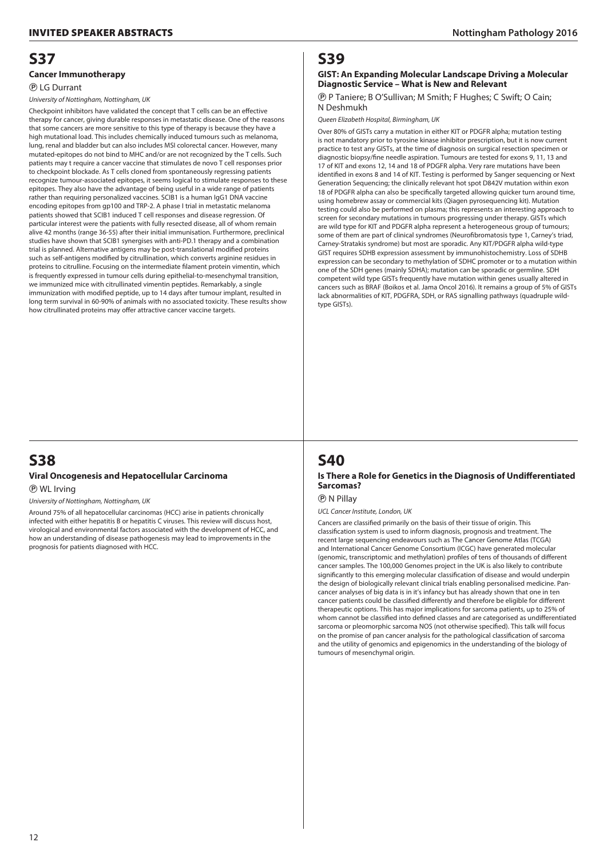### **Cancer Immunotherapy**

P LG Durrant

*University of Nottingham, Nottingham, UK*

Checkpoint inhibitors have validated the concept that T cells can be an effective therapy for cancer, giving durable responses in metastatic disease. One of the reasons that some cancers are more sensitive to this type of therapy is because they have a high mutational load. This includes chemically induced tumours such as melanoma, lung, renal and bladder but can also includes MSI colorectal cancer. However, many mutated-epitopes do not bind to MHC and/or are not recognized by the T cells. Such patients may t require a cancer vaccine that stimulates de novo T cell responses prior to checkpoint blockade. As T cells cloned from spontaneously regressing patients recognize tumour-associated epitopes, it seems logical to stimulate responses to these epitopes. They also have the advantage of being useful in a wide range of patients rather than requiring personalized vaccines. SCIB1 is a human IgG1 DNA vaccine encoding epitopes from gp100 and TRP-2. A phase I trial in metastatic melanoma patients showed that SCIB1 induced T cell responses and disease regression. Of particular interest were the patients with fully resected disease, all of whom remain alive 42 months (range 36-55) after their initial immunisation. Furthermore, preclinical studies have shown that SCIB1 synergises with anti-PD.1 therapy and a combination trial is planned. Alternative antigens may be post-translational modified proteins such as self-antigens modified by citrullination, which converts arginine residues in proteins to citrulline. Focusing on the intermediate filament protein vimentin, which is frequently expressed in tumour cells during epithelial-to-mesenchymal transition, we immunized mice with citrullinated vimentin peptides. Remarkably, a single immunization with modified peptide, up to 14 days after tumour implant, resulted in long term survival in 60-90% of animals with no associated toxicity. These results show how citrullinated proteins may offer attractive cancer vaccine targets.

### **S38 Viral Oncogenesis and Hepatocellular Carcinoma**

(P) WI Irving

*University of Nottingham, Nottingham, UK*

Around 75% of all hepatocellular carcinomas (HCC) arise in patients chronically infected with either hepatitis B or hepatitis C viruses. This review will discuss host, virological and environmental factors associated with the development of HCC, and how an understanding of disease pathogenesis may lead to improvements in the prognosis for patients diagnosed with HCC.

# **S39**

#### **GIST: An Expanding Molecular Landscape Driving a Molecular Diagnostic Service – What is New and Relevant**

P P Taniere; B O'Sullivan; M Smith; F Hughes; C Swift; O Cain; N Deshmukh

*Queen Elizabeth Hospital, Birmingham, UK*

Over 80% of GISTs carry a mutation in either KIT or PDGFR alpha; mutation testing is not mandatory prior to tyrosine kinase inhibitor prescription, but it is now current practice to test any GISTs, at the time of diagnosis on surgical resection specimen or diagnostic biopsy/fine needle aspiration. Tumours are tested for exons 9, 11, 13 and 17 of KIT and exons 12, 14 and 18 of PDGFR alpha. Very rare mutations have been identified in exons 8 and 14 of KIT. Testing is performed by Sanger sequencing or Next Generation Sequencing; the clinically relevant hot spot D842V mutation within exon 18 of PDGFR alpha can also be specifically targeted allowing quicker turn around time, using homebrew assay or commercial kits (Qiagen pyrosequencing kit). Mutation testing could also be performed on plasma; this represents an interesting approach to screen for secondary mutations in tumours progressing under therapy. GISTs which are wild type for KIT and PDGFR alpha represent a heterogeneous group of tumours; some of them are part of clinical syndromes (Neurofibromatosis type 1, Carney's triad, Carney-Stratakis syndrome) but most are sporadic. Any KIT/PDGFR alpha wild-type GIST requires SDHB expression assessment by immunohistochemistry. Loss of SDHB expression can be secondary to methylation of SDHC promoter or to a mutation within one of the SDH genes (mainly SDHA); mutation can be sporadic or germline. SDH competent wild type GISTs frequently have mutation within genes usually altered in cancers such as BRAF (Boikos et al. Jama Oncol 2016). It remains a group of 5% of GISTs lack abnormalities of KIT, PDGFRA, SDH, or RAS signalling pathways (quadruple wildtype GISTs).

# **S40**

#### **Is There a Role for Genetics in the Diagnosis of Undifferentiated Sarcomas?**

#### P N Pillay

*UCL Cancer Institute, London, UK*

Cancers are classified primarily on the basis of their tissue of origin. This classification system is used to inform diagnosis, prognosis and treatment. The recent large sequencing endeavours such as The Cancer Genome Atlas (TCGA) and International Cancer Genome Consortium (ICGC) have generated molecular (genomic, transcriptomic and methylation) profiles of tens of thousands of different cancer samples. The 100,000 Genomes project in the UK is also likely to contribute significantly to this emerging molecular classification of disease and would underpin the design of biologically relevant clinical trials enabling personalised medicine. Pancancer analyses of big data is in it's infancy but has already shown that one in ten cancer patients could be classified differently and therefore be eligible for different therapeutic options. This has major implications for sarcoma patients, up to 25% of whom cannot be classified into defined classes and are categorised as undifferentiated sarcoma or pleomorphic sarcoma NOS (not otherwise specified). This talk will focus on the promise of pan cancer analysis for the pathological classification of sarcoma and the utility of genomics and epigenomics in the understanding of the biology of tumours of mesenchymal origin.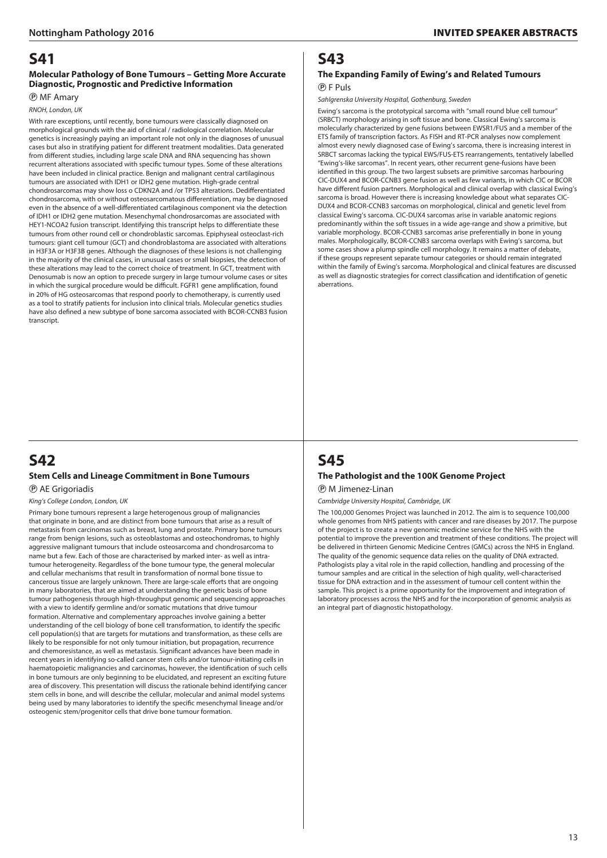#### **Molecular Pathology of Bone Tumours – Getting More Accurate Diagnostic, Prognostic and Predictive Information**

#### P MF Amary

*RNOH, London, UK*

With rare exceptions, until recently, bone tumours were classically diagnosed on morphological grounds with the aid of clinical / radiological correlation. Molecular genetics is increasingly paying an important role not only in the diagnoses of unusual cases but also in stratifying patient for different treatment modalities. Data generated from different studies, including large scale DNA and RNA sequencing has shown recurrent alterations associated with specific tumour types. Some of these alterations have been included in clinical practice. Benign and malignant central cartilaginous tumours are associated with IDH1 or IDH2 gene mutation. High-grade central chondrosarcomas may show loss o CDKN2A and /or TP53 alterations. Dedifferentiated chondrosarcoma, with or without osteosarcomatous differentiation, may be diagnosed even in the absence of a well-differentiated cartilaginous component via the detection of IDH1 or IDH2 gene mutation. Mesenchymal chondrosarcomas are associated with HEY1-NCOA2 fusion transcript. Identifying this transcript helps to differentiate these tumours from other round cell or chondroblastic sarcomas. Epiphyseal osteoclast-rich tumours: giant cell tumour (GCT) and chondroblastoma are associated with alterations in H3F3A or H3F3B genes. Although the diagnoses of these lesions is not challenging in the majority of the clinical cases, in unusual cases or small biopsies, the detection of these alterations may lead to the correct choice of treatment. In GCT, treatment with Denosumab is now an option to precede surgery in large tumour volume cases or sites in which the surgical procedure would be difficult. FGFR1 gene amplification, found in 20% of HG osteosarcomas that respond poorly to chemotherapy, is currently used as a tool to stratify patients for inclusion into clinical trials. Molecular genetics studies have also defined a new subtype of bone sarcoma associated with BCOR-CCNB3 fusion transcript.

# **S42 Stem Cells and Lineage Commitment in Bone Tumours**

P AE Grigoriadis

*King's College London, London, UK*

Primary bone tumours represent a large heterogenous group of malignancies that originate in bone, and are distinct from bone tumours that arise as a result of metastasis from carcinomas such as breast, lung and prostate. Primary bone tumours range from benign lesions, such as osteoblastomas and osteochondromas, to highly aggressive malignant tumours that include osteosarcoma and chondrosarcoma to name but a few. Each of those are characterised by marked inter- as well as intratumour heterogeneity. Regardless of the bone tumour type, the general molecular and cellular mechanisms that result in transformation of normal bone tissue to cancerous tissue are largely unknown. There are large-scale efforts that are ongoing in many laboratories, that are aimed at understanding the genetic basis of bone tumour pathogenesis through high-throughput genomic and sequencing approaches with a view to identify germline and/or somatic mutations that drive tumour formation. Alternative and complementary approaches involve gaining a better understanding of the cell biology of bone cell transformation, to identify the specific cell population(s) that are targets for mutations and transformation, as these cells are likely to be responsible for not only tumour initiation, but propagation, recurrence and chemoresistance, as well as metastasis. Significant advances have been made in recent years in identifying so-called cancer stem cells and/or tumour-initiating cells in haematopoietic malignancies and carcinomas, however, the identification of such cells in bone tumours are only beginning to be elucidated, and represent an exciting future area of discovery. This presentation will discuss the rationale behind identifying cancer stem cells in bone, and will describe the cellular, molecular and animal model systems being used by many laboratories to identify the specific mesenchymal lineage and/or osteogenic stem/progenitor cells that drive bone tumour formation.

# **S43**

#### **The Expanding Family of Ewing's and Related Tumours** P F Puls

*Sahlgrenska University Hospital, Gothenburg, Sweden*

Ewing's sarcoma is the prototypical sarcoma with "small round blue cell tumour" (SRBCT) morphology arising in soft tissue and bone. Classical Ewing's sarcoma is molecularly characterized by gene fusions between EWSR1/FUS and a member of the ETS family of transcription factors. As FISH and RT-PCR analyses now complement almost every newly diagnosed case of Ewing's sarcoma, there is increasing interest in SRBCT sarcomas lacking the typical EWS/FUS-ETS rearrangements, tentatively labelled "Ewing's-like sarcomas". In recent years, other recurrent gene-fusions have been identified in this group. The two largest subsets are primitive sarcomas harbouring CIC-DUX4 and BCOR-CCNB3 gene fusion as well as few variants, in which CIC or BCOR have different fusion partners. Morphological and clinical overlap with classical Ewing's sarcoma is broad. However there is increasing knowledge about what separates CIC-DUX4 and BCOR-CCNB3 sarcomas on morphological, clinical and genetic level from classical Ewing's sarcoma. CIC-DUX4 sarcomas arise in variable anatomic regions predominantly within the soft tissues in a wide age-range and show a primitive, but variable morphology. BCOR-CCNB3 sarcomas arise preferentially in bone in young males. Morphologically, BCOR-CCNB3 sarcoma overlaps with Ewing's sarcoma, but some cases show a plump spindle cell morphology. It remains a matter of debate, if these groups represent separate tumour categories or should remain integrated within the family of Ewing's sarcoma. Morphological and clinical features are discussed as well as diagnostic strategies for correct classification and identification of genetic aberrations.

# **S45**

### **The Pathologist and the 100K Genome Project**

P M Jimenez-Linan

*Cambridge University Hospital, Cambridge, UK*

The 100,000 Genomes Project was launched in 2012. The aim is to sequence 100,000 whole genomes from NHS patients with cancer and rare diseases by 2017. The purpose of the project is to create a new genomic medicine service for the NHS with the potential to improve the prevention and treatment of these conditions. The project will be delivered in thirteen Genomic Medicine Centres (GMCs) across the NHS in England. The quality of the genomic sequence data relies on the quality of DNA extracted. Pathologists play a vital role in the rapid collection, handling and processing of the tumour samples and are critical in the selection of high quality, well-characterised tissue for DNA extraction and in the assessment of tumour cell content within the sample. This project is a prime opportunity for the improvement and integration of laboratory processes across the NHS and for the incorporation of genomic analysis as an integral part of diagnostic histopathology.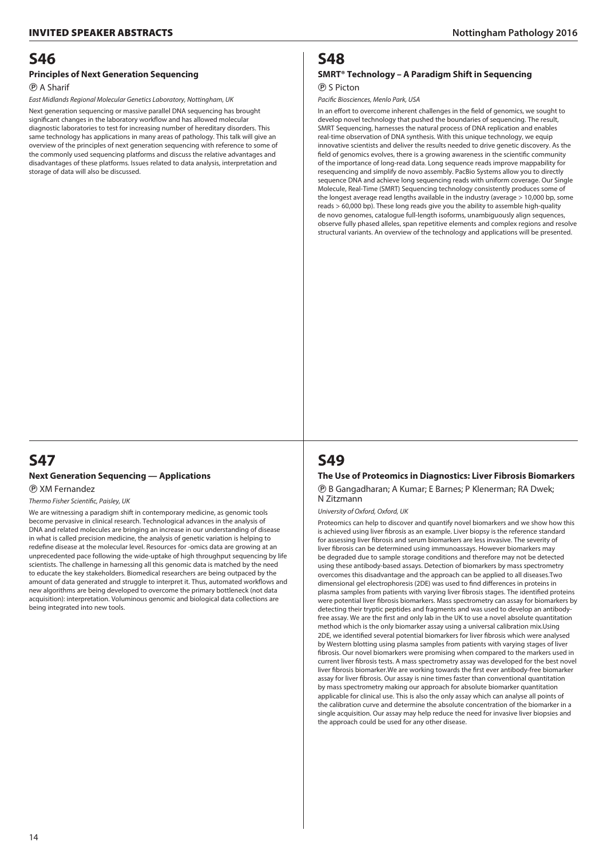#### **Principles of Next Generation Sequencing**

P A Sharif

*East Midlands Regional Molecular Genetics Laboratory, Nottingham, UK*

Next generation sequencing or massive parallel DNA sequencing has brought significant changes in the laboratory workflow and has allowed molecular diagnostic laboratories to test for increasing number of hereditary disorders. This same technology has applications in many areas of pathology. This talk will give an overview of the principles of next generation sequencing with reference to some of the commonly used sequencing platforms and discuss the relative advantages and disadvantages of these platforms. Issues related to data analysis, interpretation and storage of data will also be discussed.

# **S48**

#### **SMRT® Technology – A Paradigm Shift in Sequencing**  P S Picton

*Pacific Biosciences, Menlo Park, USA*

In an effort to overcome inherent challenges in the field of genomics, we sought to develop novel technology that pushed the boundaries of sequencing. The result, SMRT Sequencing, harnesses the natural process of DNA replication and enables real-time observation of DNA synthesis. With this unique technology, we equip innovative scientists and deliver the results needed to drive genetic discovery. As the field of genomics evolves, there is a growing awareness in the scientific community of the importance of long-read data. Long sequence reads improve mappability for resequencing and simplify de novo assembly. PacBio Systems allow you to directly sequence DNA and achieve long sequencing reads with uniform coverage. Our Single Molecule, Real-Time (SMRT) Sequencing technology consistently produces some of the longest average read lengths available in the industry (average > 10,000 bp, some reads > 60,000 bp). These long reads give you the ability to assemble high-quality de novo genomes, catalogue full-length isoforms, unambiguously align sequences, observe fully phased alleles, span repetitive elements and complex regions and resolve structural variants. An overview of the technology and applications will be presented.

### **S47 Next Generation Sequencing — Applications**

P XM Fernandez

*Thermo Fisher Scientific, Paisley, UK*

We are witnessing a paradigm shift in contemporary medicine, as genomic tools become pervasive in clinical research. Technological advances in the analysis of DNA and related molecules are bringing an increase in our understanding of disease in what is called precision medicine, the analysis of genetic variation is helping to redefine disease at the molecular level. Resources for -omics data are growing at an unprecedented pace following the wide-uptake of high throughput sequencing by life scientists. The challenge in harnessing all this genomic data is matched by the need to educate the key stakeholders. Biomedical researchers are being outpaced by the amount of data generated and struggle to interpret it. Thus, automated workflows and new algorithms are being developed to overcome the primary bottleneck (not data acquisition): interpretation. Voluminous genomic and biological data collections are being integrated into new tools.

# **S49**

#### **The Use of Proteomics in Diagnostics: Liver Fibrosis Biomarkers**

P B Gangadharan; A Kumar; E Barnes; P Klenerman; RA Dwek; N Zitzmann

#### *University of Oxford, Oxford, UK*

Proteomics can help to discover and quantify novel biomarkers and we show how this is achieved using liver fibrosis as an example. Liver biopsy is the reference standard for assessing liver fibrosis and serum biomarkers are less invasive. The severity of liver fibrosis can be determined using immunoassays. However biomarkers may be degraded due to sample storage conditions and therefore may not be detected using these antibody-based assays. Detection of biomarkers by mass spectrometry overcomes this disadvantage and the approach can be applied to all diseases.Two dimensional gel electrophoresis (2DE) was used to find differences in proteins in plasma samples from patients with varying liver fibrosis stages. The identified proteins were potential liver fibrosis biomarkers. Mass spectrometry can assay for biomarkers by detecting their tryptic peptides and fragments and was used to develop an antibodyfree assay. We are the first and only lab in the UK to use a novel absolute quantitation method which is the only biomarker assay using a universal calibration mix.Using 2DE, we identified several potential biomarkers for liver fibrosis which were analysed by Western blotting using plasma samples from patients with varying stages of liver fibrosis. Our novel biomarkers were promising when compared to the markers used in current liver fibrosis tests. A mass spectrometry assay was developed for the best novel liver fibrosis biomarker.We are working towards the first ever antibody-free biomarker assay for liver fibrosis. Our assay is nine times faster than conventional quantitation by mass spectrometry making our approach for absolute biomarker quantitation applicable for clinical use. This is also the only assay which can analyse all points of the calibration curve and determine the absolute concentration of the biomarker in a single acquisition. Our assay may help reduce the need for invasive liver biopsies and the approach could be used for any other disease.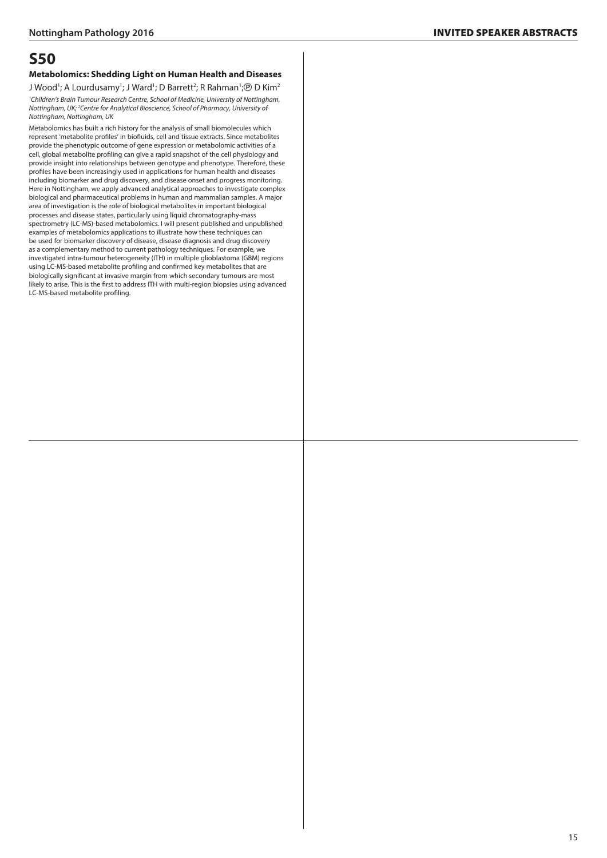#### **Metabolomics: Shedding Light on Human Health and Diseases**

J Wood'; A Lourdusamy'; J Ward'; D Barrett<sup>2</sup>; R Rahman';℗ D Kim<sup>2</sup> *1 Children's Brain Tumour Research Centre, School of Medicine, University of Nottingham, Nottingham, UK; 2 Centre for Analytical Bioscience, School of Pharmacy, University of Nottingham, Nottingham, UK*

Metabolomics has built a rich history for the analysis of small biomolecules which represent 'metabolite profiles' in biofluids, cell and tissue extracts. Since metabolites provide the phenotypic outcome of gene expression or metabolomic activities of a cell, global metabolite profiling can give a rapid snapshot of the cell physiology and provide insight into relationships between genotype and phenotype. Therefore, these profiles have been increasingly used in applications for human health and diseases including biomarker and drug discovery, and disease onset and progress monitoring. Here in Nottingham, we apply advanced analytical approaches to investigate complex biological and pharmaceutical problems in human and mammalian samples. A major area of investigation is the role of biological metabolites in important biological processes and disease states, particularly using liquid chromatography-mass spectrometry (LC-MS)-based metabolomics. I will present published and unpublished examples of metabolomics applications to illustrate how these techniques can be used for biomarker discovery of disease, disease diagnosis and drug discovery as a complementary method to current pathology techniques. For example, we investigated intra-tumour heterogeneity (ITH) in multiple glioblastoma (GBM) regions using LC-MS-based metabolite profiling and confirmed key metabolites that are biologically significant at invasive margin from which secondary tumours are most likely to arise. This is the first to address ITH with multi-region biopsies using advanced LC-MS-based metabolite profiling.